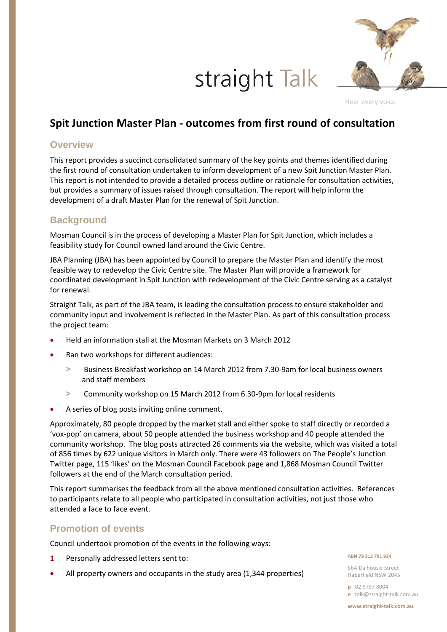# straight Talk



Hear every voice

## **Spit Junction Master Plan - outcomes from first round of consultation**

### **Overview**

This report provides a succinct consolidated summary of the key points and themes identified during the first round of consultation undertaken to inform development of a new Spit Junction Master Plan. This report is not intended to provide a detailed process outline or rationale for consultation activities, but provides a summary of issues raised through consultation. The report will help inform the development of a draft Master Plan for the renewal of Spit Junction.

## **Background**

Mosman Council is in the process of developing a Master Plan for Spit Junction, which includes a feasibility study for Council owned land around the Civic Centre.

JBA Planning (JBA) has been appointed by Council to prepare the Master Plan and identify the most feasible way to redevelop the Civic Centre site. The Master Plan will provide a framework for coordinated development in Spit Junction with redevelopment of the Civic Centre serving as a catalyst for renewal.

Straight Talk, as part of the JBA team, is leading the consultation process to ensure stakeholder and community input and involvement is reflected in the Master Plan. As part of this consultation process the project team:

- Held an information stall at the Mosman Markets on 3 March 2012
- Ran two workshops for different audiences:
	- **>** Business Breakfast workshop on 14 March 2012 from 7.30-9am for local business owners and staff members
	- **>** Community workshop on 15 March 2012 from 6.30-9pm for local residents
- A series of blog posts inviting online comment.

Approximately, 80 people dropped by the market stall and either spoke to staff directly or recorded a 'vox-pop' on camera, about 50 people attended the business workshop and 40 people attended the community workshop. The blog posts attracted 26 comments via the website, which was visited a total of 856 times by 622 unique visitors in March only. There were 43 followers on The People's Junction Twitter page, 115 'likes' on the Mosman Council Facebook page and 1,868 Mosman Council Twitter followers at the end of the March consultation period.

This report summarises the feedback from all the above mentioned consultation activities. References to participants relate to all people who participated in consultation activities, not just those who attended a face to face event.

### **Promotion of events**

Council undertook promotion of the events in the following ways:

- **1** Personally addressed letters sent to:
- All property owners and occupants in the study area (1,344 properties)

#### **ABN 79 312 791 934**

66A Dalhousie Street Haberfield NSW 2045

**p** 02 9797 8004 **e** talk@straight-talk.com.au

**www.straight-talk.com.au**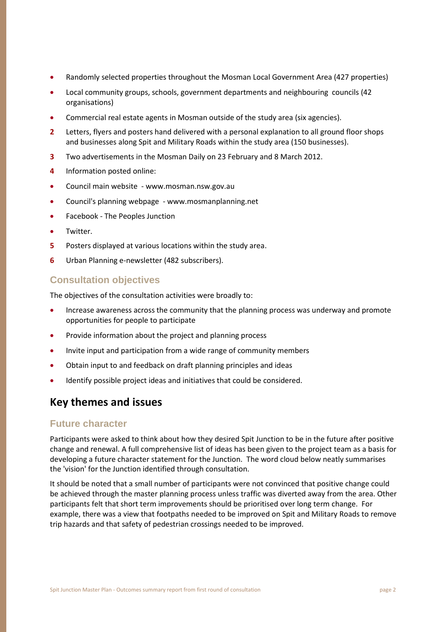- Randomly selected properties throughout the Mosman Local Government Area (427 properties)
- Local community groups, schools, government departments and neighbouring councils (42 organisations)
- Commercial real estate agents in Mosman outside of the study area (six agencies).
- **2** Letters, flyers and posters hand delivered with a personal explanation to all ground floor shops and businesses along Spit and Military Roads within the study area (150 businesses).
- **3** Two advertisements in the Mosman Daily on 23 February and 8 March 2012.
- **4** Information posted online:
- Council main website www.mosman.nsw.gov.au
- Council's planning webpage www.mosmanplanning.net
- **•** Facebook The Peoples Junction
- Twitter.
- **5** Posters displayed at various locations within the study area.
- **6** Urban Planning e-newsletter (482 subscribers).

## **Consultation objectives**

The objectives of the consultation activities were broadly to:

- Increase awareness across the community that the planning process was underway and promote opportunities for people to participate
- Provide information about the project and planning process
- Invite input and participation from a wide range of community members
- Obtain input to and feedback on draft planning principles and ideas
- Identify possible project ideas and initiatives that could be considered.

## **Key themes and issues**

### **Future character**

Participants were asked to think about how they desired Spit Junction to be in the future after positive change and renewal. A full comprehensive list of ideas has been given to the project team as a basis for developing a future character statement for the Junction. The word cloud below neatly summarises the 'vision' for the Junction identified through consultation.

It should be noted that a small number of participants were not convinced that positive change could be achieved through the master planning process unless traffic was diverted away from the area. Other participants felt that short term improvements should be prioritised over long term change. For example, there was a view that footpaths needed to be improved on Spit and Military Roads to remove trip hazards and that safety of pedestrian crossings needed to be improved.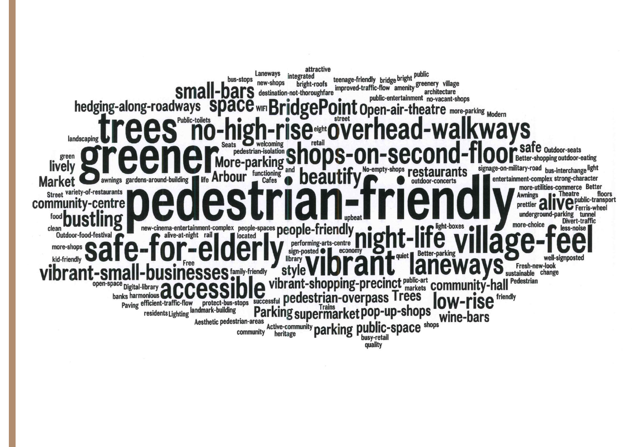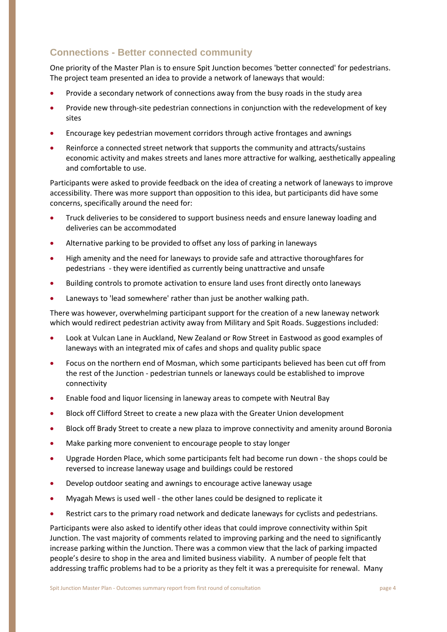## **Connections - Better connected community**

One priority of the Master Plan is to ensure Spit Junction becomes 'better connected' for pedestrians. The project team presented an idea to provide a network of laneways that would:

- Provide a secondary network of connections away from the busy roads in the study area
- Provide new through-site pedestrian connections in conjunction with the redevelopment of key sites
- Encourage key pedestrian movement corridors through active frontages and awnings
- Reinforce a connected street network that supports the community and attracts/sustains economic activity and makes streets and lanes more attractive for walking, aesthetically appealing and comfortable to use.

Participants were asked to provide feedback on the idea of creating a network of laneways to improve accessibility. There was more support than opposition to this idea, but participants did have some concerns, specifically around the need for:

- Truck deliveries to be considered to support business needs and ensure laneway loading and deliveries can be accommodated
- Alternative parking to be provided to offset any loss of parking in laneways
- High amenity and the need for laneways to provide safe and attractive thoroughfares for pedestrians - they were identified as currently being unattractive and unsafe
- Building controls to promote activation to ensure land uses front directly onto laneways
- Laneways to 'lead somewhere' rather than just be another walking path.

There was however, overwhelming participant support for the creation of a new laneway network which would redirect pedestrian activity away from Military and Spit Roads. Suggestions included:

- Look at Vulcan Lane in Auckland, New Zealand or Row Street in Eastwood as good examples of laneways with an integrated mix of cafes and shops and quality public space
- Focus on the northern end of Mosman, which some participants believed has been cut off from the rest of the Junction - pedestrian tunnels or laneways could be established to improve connectivity
- Enable food and liquor licensing in laneway areas to compete with Neutral Bay
- Block off Clifford Street to create a new plaza with the Greater Union development
- Block off Brady Street to create a new plaza to improve connectivity and amenity around Boronia
- Make parking more convenient to encourage people to stay longer
- Upgrade Horden Place, which some participants felt had become run down the shops could be reversed to increase laneway usage and buildings could be restored
- Develop outdoor seating and awnings to encourage active laneway usage
- Myagah Mews is used well the other lanes could be designed to replicate it
- Restrict cars to the primary road network and dedicate laneways for cyclists and pedestrians.

Participants were also asked to identify other ideas that could improve connectivity within Spit Junction. The vast majority of comments related to improving parking and the need to significantly increase parking within the Junction. There was a common view that the lack of parking impacted people's desire to shop in the area and limited business viability. A number of people felt that addressing traffic problems had to be a priority as they felt it was a prerequisite for renewal. Many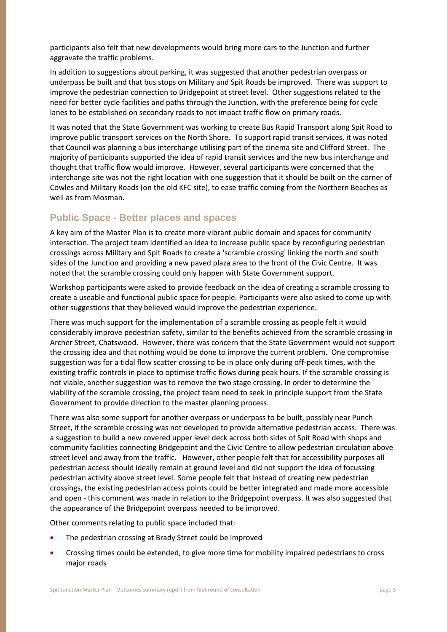participants also felt that new developments would bring more cars to the Junction and further aggravate the traffic problems.

In addition to suggestions about parking, it was suggested that another pedestrian overpass or underpass be built and that bus stops on Military and Spit Roads be improved. There was support to improve the pedestrian connection to Bridgepoint at street level. Other suggestions related to the need for better cycle facilities and paths through the Junction, with the preference being for cycle lanes to be established on secondary roads to not impact traffic flow on primary roads.

It was noted that the State Government was working to create Bus Rapid Transport along Spit Road to improve public transport services on the North Shore. To support rapid transit services, it was noted that Council was planning a bus interchange utilising part of the cinema site and Clifford Street. The majority of participants supported the idea of rapid transit services and the new bus interchange and thought that traffic flow would improve. However, several participants were concerned that the interchange site was not the right location with one suggestion that it should be built on the corner of Cowles and Military Roads (on the old KFC site), to ease traffic coming from the Northern Beaches as well as from Mosman.

## **Public Space - Better places and spaces**

A key aim of the Master Plan is to create more vibrant public domain and spaces for community interaction. The project team identified an idea to increase public space by reconfiguring pedestrian crossings across Military and Spit Roads to create a 'scramble crossing' linking the north and south sides of the Junction and providing a new paved plaza area to the front of the Civic Centre. It was noted that the scramble crossing could only happen with State Government support.

Workshop participants were asked to provide feedback on the idea of creating a scramble crossing to create a useable and functional public space for people. Participants were also asked to come up with other suggestions that they believed would improve the pedestrian experience.

There was much support for the implementation of a scramble crossing as people felt it would considerably improve pedestrian safety, similar to the benefits achieved from the scramble crossing in Archer Street, Chatswood. However, there was concern that the State Government would not support the crossing idea and that nothing would be done to improve the current problem. One compromise suggestion was for a tidal flow scatter crossing to be in place only during off-peak times, with the existing traffic controls in place to optimise traffic flows during peak hours. If the scramble crossing is not viable, another suggestion was to remove the two stage crossing. In order to determine the viability of the scramble crossing, the project team need to seek in principle support from the State Government to provide direction to the master planning process.

There was also some support for another overpass or underpass to be built, possibly near Punch Street, if the scramble crossing was not developed to provide alternative pedestrian access. There was a suggestion to build a new covered upper level deck across both sides of Spit Road with shops and community facilities connecting Bridgepoint and the Civic Centre to allow pedestrian circulation above street level and away from the traffic. However, other people felt that for accessibility purposes all pedestrian access should ideally remain at ground level and did not support the idea of focussing pedestrian activity above street level. Some people felt that instead of creating new pedestrian crossings, the existing pedestrian access points could be better integrated and made more accessible and open - this comment was made in relation to the Bridgepoint overpass. It was also suggested that the appearance of the Bridgepoint overpass needed to be improved.

Other comments relating to public space included that:

- The pedestrian crossing at Brady Street could be improved
- Crossing times could be extended, to give more time for mobility impaired pedestrians to cross major roads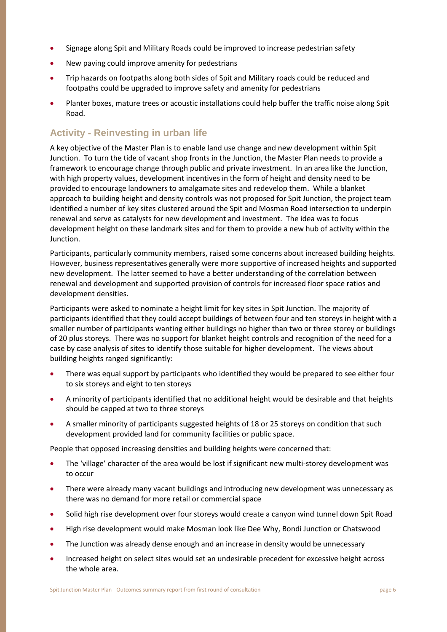- Signage along Spit and Military Roads could be improved to increase pedestrian safety
- New paving could improve amenity for pedestrians
- Trip hazards on footpaths along both sides of Spit and Military roads could be reduced and footpaths could be upgraded to improve safety and amenity for pedestrians
- Planter boxes, mature trees or acoustic installations could help buffer the traffic noise along Spit Road.

## **Activity - Reinvesting in urban life**

A key objective of the Master Plan is to enable land use change and new development within Spit Junction. To turn the tide of vacant shop fronts in the Junction, the Master Plan needs to provide a framework to encourage change through public and private investment. In an area like the Junction, with high property values, development incentives in the form of height and density need to be provided to encourage landowners to amalgamate sites and redevelop them. While a blanket approach to building height and density controls was not proposed for Spit Junction, the project team identified a number of key sites clustered around the Spit and Mosman Road intersection to underpin renewal and serve as catalysts for new development and investment. The idea was to focus development height on these landmark sites and for them to provide a new hub of activity within the Junction.

Participants, particularly community members, raised some concerns about increased building heights. However, business representatives generally were more supportive of increased heights and supported new development. The latter seemed to have a better understanding of the correlation between renewal and development and supported provision of controls for increased floor space ratios and development densities.

Participants were asked to nominate a height limit for key sites in Spit Junction. The majority of participants identified that they could accept buildings of between four and ten storeys in height with a smaller number of participants wanting either buildings no higher than two or three storey or buildings of 20 plus storeys. There was no support for blanket height controls and recognition of the need for a case by case analysis of sites to identify those suitable for higher development. The views about building heights ranged significantly:

- There was equal support by participants who identified they would be prepared to see either four to six storeys and eight to ten storeys
- A minority of participants identified that no additional height would be desirable and that heights should be capped at two to three storeys
- A smaller minority of participants suggested heights of 18 or 25 storeys on condition that such development provided land for community facilities or public space.

People that opposed increasing densities and building heights were concerned that:

- The 'village' character of the area would be lost if significant new multi-storey development was to occur
- There were already many vacant buildings and introducing new development was unnecessary as there was no demand for more retail or commercial space
- Solid high rise development over four storeys would create a canyon wind tunnel down Spit Road
- High rise development would make Mosman look like Dee Why, Bondi Junction or Chatswood
- The Junction was already dense enough and an increase in density would be unnecessary
- Increased height on select sites would set an undesirable precedent for excessive height across the whole area.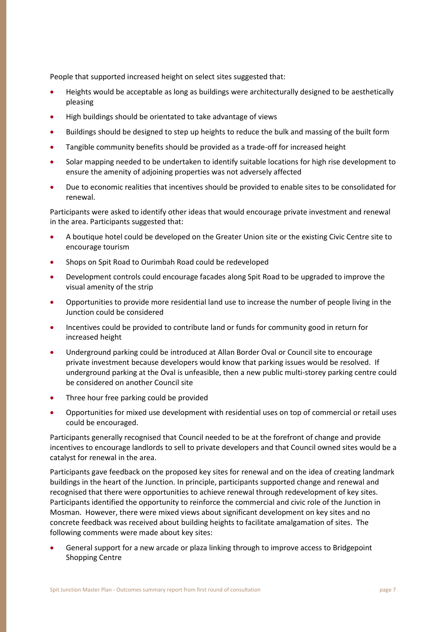People that supported increased height on select sites suggested that:

- Heights would be acceptable as long as buildings were architecturally designed to be aesthetically pleasing
- High buildings should be orientated to take advantage of views
- Buildings should be designed to step up heights to reduce the bulk and massing of the built form
- Tangible community benefits should be provided as a trade-off for increased height
- Solar mapping needed to be undertaken to identify suitable locations for high rise development to ensure the amenity of adjoining properties was not adversely affected
- Due to economic realities that incentives should be provided to enable sites to be consolidated for renewal.

Participants were asked to identify other ideas that would encourage private investment and renewal in the area. Participants suggested that:

- A boutique hotel could be developed on the Greater Union site or the existing Civic Centre site to encourage tourism
- Shops on Spit Road to Ourimbah Road could be redeveloped
- Development controls could encourage facades along Spit Road to be upgraded to improve the visual amenity of the strip
- Opportunities to provide more residential land use to increase the number of people living in the Junction could be considered
- Incentives could be provided to contribute land or funds for community good in return for increased height
- Underground parking could be introduced at Allan Border Oval or Council site to encourage private investment because developers would know that parking issues would be resolved. If underground parking at the Oval is unfeasible, then a new public multi-storey parking centre could be considered on another Council site
- Three hour free parking could be provided
- Opportunities for mixed use development with residential uses on top of commercial or retail uses could be encouraged.

Participants generally recognised that Council needed to be at the forefront of change and provide incentives to encourage landlords to sell to private developers and that Council owned sites would be a catalyst for renewal in the area.

Participants gave feedback on the proposed key sites for renewal and on the idea of creating landmark buildings in the heart of the Junction. In principle, participants supported change and renewal and recognised that there were opportunities to achieve renewal through redevelopment of key sites. Participants identified the opportunity to reinforce the commercial and civic role of the Junction in Mosman. However, there were mixed views about significant development on key sites and no concrete feedback was received about building heights to facilitate amalgamation of sites. The following comments were made about key sites:

 General support for a new arcade or plaza linking through to improve access to Bridgepoint Shopping Centre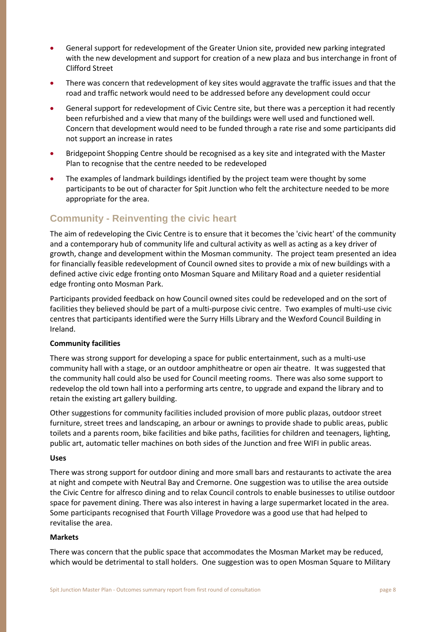- General support for redevelopment of the Greater Union site, provided new parking integrated with the new development and support for creation of a new plaza and bus interchange in front of Clifford Street
- There was concern that redevelopment of key sites would aggravate the traffic issues and that the road and traffic network would need to be addressed before any development could occur
- General support for redevelopment of Civic Centre site, but there was a perception it had recently been refurbished and a view that many of the buildings were well used and functioned well. Concern that development would need to be funded through a rate rise and some participants did not support an increase in rates
- Bridgepoint Shopping Centre should be recognised as a key site and integrated with the Master Plan to recognise that the centre needed to be redeveloped
- The examples of landmark buildings identified by the project team were thought by some participants to be out of character for Spit Junction who felt the architecture needed to be more appropriate for the area.

## **Community - Reinventing the civic heart**

The aim of redeveloping the Civic Centre is to ensure that it becomes the 'civic heart' of the community and a contemporary hub of community life and cultural activity as well as acting as a key driver of growth, change and development within the Mosman community. The project team presented an idea for financially feasible redevelopment of Council owned sites to provide a mix of new buildings with a defined active civic edge fronting onto Mosman Square and Military Road and a quieter residential edge fronting onto Mosman Park.

Participants provided feedback on how Council owned sites could be redeveloped and on the sort of facilities they believed should be part of a multi-purpose civic centre. Two examples of multi-use civic centres that participants identified were the Surry Hills Library and the Wexford Council Building in Ireland.

#### **Community facilities**

There was strong support for developing a space for public entertainment, such as a multi-use community hall with a stage, or an outdoor amphitheatre or open air theatre. It was suggested that the community hall could also be used for Council meeting rooms. There was also some support to redevelop the old town hall into a performing arts centre, to upgrade and expand the library and to retain the existing art gallery building.

Other suggestions for community facilities included provision of more public plazas, outdoor street furniture, street trees and landscaping, an arbour or awnings to provide shade to public areas, public toilets and a parents room, bike facilities and bike paths, facilities for children and teenagers, lighting, public art, automatic teller machines on both sides of the Junction and free WIFI in public areas.

#### **Uses**

There was strong support for outdoor dining and more small bars and restaurants to activate the area at night and compete with Neutral Bay and Cremorne. One suggestion was to utilise the area outside the Civic Centre for alfresco dining and to relax Council controls to enable businesses to utilise outdoor space for pavement dining. There was also interest in having a large supermarket located in the area. Some participants recognised that Fourth Village Provedore was a good use that had helped to revitalise the area.

#### **Markets**

There was concern that the public space that accommodates the Mosman Market may be reduced, which would be detrimental to stall holders. One suggestion was to open Mosman Square to Military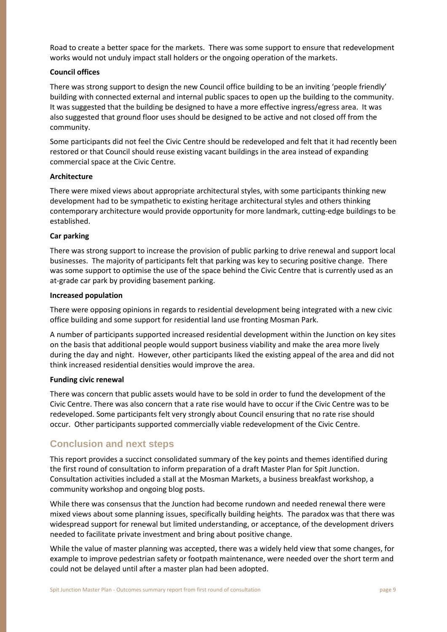Road to create a better space for the markets. There was some support to ensure that redevelopment works would not unduly impact stall holders or the ongoing operation of the markets.

#### **Council offices**

There was strong support to design the new Council office building to be an inviting 'people friendly' building with connected external and internal public spaces to open up the building to the community. It was suggested that the building be designed to have a more effective ingress/egress area. It was also suggested that ground floor uses should be designed to be active and not closed off from the community.

Some participants did not feel the Civic Centre should be redeveloped and felt that it had recently been restored or that Council should reuse existing vacant buildings in the area instead of expanding commercial space at the Civic Centre.

#### **Architecture**

There were mixed views about appropriate architectural styles, with some participants thinking new development had to be sympathetic to existing heritage architectural styles and others thinking contemporary architecture would provide opportunity for more landmark, cutting-edge buildings to be established.

#### **Car parking**

There was strong support to increase the provision of public parking to drive renewal and support local businesses. The majority of participants felt that parking was key to securing positive change. There was some support to optimise the use of the space behind the Civic Centre that is currently used as an at-grade car park by providing basement parking.

#### **Increased population**

There were opposing opinions in regards to residential development being integrated with a new civic office building and some support for residential land use fronting Mosman Park.

A number of participants supported increased residential development within the Junction on key sites on the basis that additional people would support business viability and make the area more lively during the day and night. However, other participants liked the existing appeal of the area and did not think increased residential densities would improve the area.

#### **Funding civic renewal**

There was concern that public assets would have to be sold in order to fund the development of the Civic Centre. There was also concern that a rate rise would have to occur if the Civic Centre was to be redeveloped. Some participants felt very strongly about Council ensuring that no rate rise should occur. Other participants supported commercially viable redevelopment of the Civic Centre.

## **Conclusion and next steps**

This report provides a succinct consolidated summary of the key points and themes identified during the first round of consultation to inform preparation of a draft Master Plan for Spit Junction. Consultation activities included a stall at the Mosman Markets, a business breakfast workshop, a community workshop and ongoing blog posts.

While there was consensus that the Junction had become rundown and needed renewal there were mixed views about some planning issues, specifically building heights. The paradox was that there was widespread support for renewal but limited understanding, or acceptance, of the development drivers needed to facilitate private investment and bring about positive change.

While the value of master planning was accepted, there was a widely held view that some changes, for example to improve pedestrian safety or footpath maintenance, were needed over the short term and could not be delayed until after a master plan had been adopted.